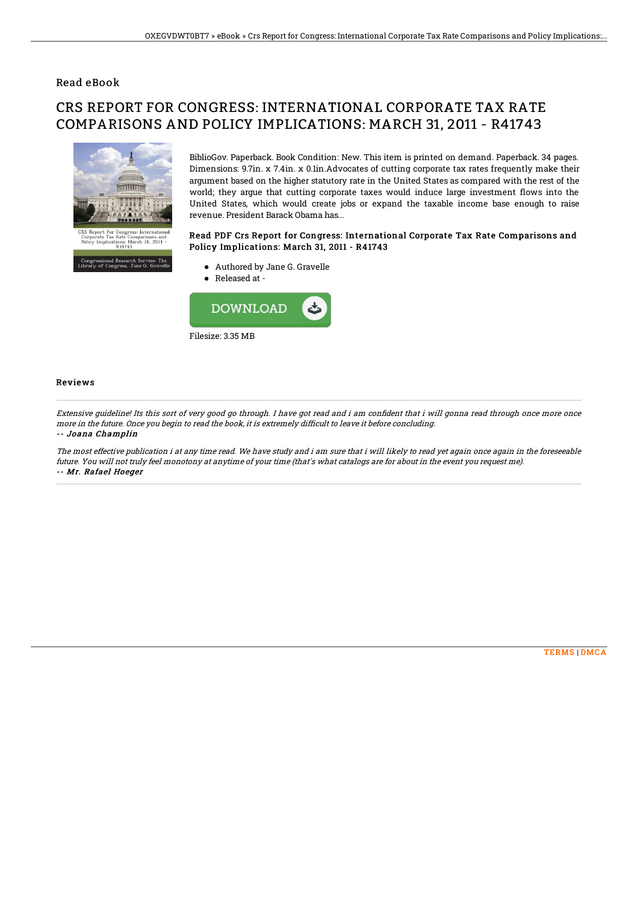### Read eBook

# CRS REPORT FOR CONGRESS: INTERNATIONAL CORPORATE TAX RATE COMPARISONS AND POLICY IMPLICATIONS: MARCH 31, 2011 - R41743



essional Research Service:<br>7 of Congress, Jane G. G1

BiblioGov. Paperback. Book Condition: New. This item is printed on demand. Paperback. 34 pages. Dimensions: 9.7in. x 7.4in. x 0.1in.Advocates of cutting corporate tax rates frequently make their argument based on the higher statutory rate in the United States as compared with the rest of the world; they argue that cutting corporate taxes would induce large investment flows into the United States, which would create jobs or expand the taxable income base enough to raise revenue. President Barack Obama has...

#### Read PDF Crs Report for Congress: International Corporate Tax Rate Comparisons and Policy Implications: March 31, 2011 - R41743

- Authored by Jane G. Gravelle
- Released at -



#### Reviews

Extensive quideline! Its this sort of very good go through. I have got read and i am confident that i will gonna read through once more once more in the future. Once you begin to read the book, it is extremely difficult to leave it before concluding. -- Joana Champlin

The most effective publication i at any time read. We have study and i am sure that i will likely to read yet again once again in the foreseeable future. You will not truly feel monotony at anytime of your time (that's what catalogs are for about in the event you request me). -- Mr. Rafael Hoeger